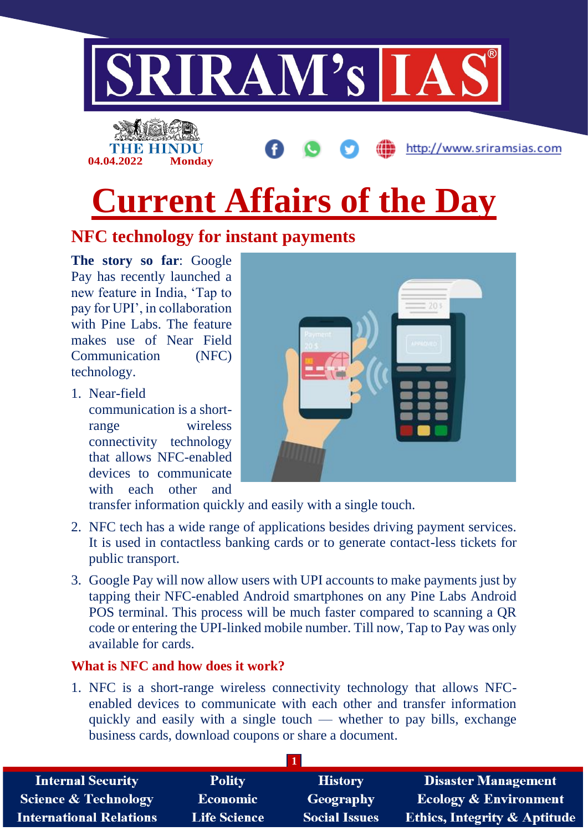

# **Current Affairs of the Day**

# **NFC technology for instant payments**

**The story so far**: Google Pay has recently launched a new feature in India, 'Tap to pay for UPI', in collaboration with Pine Labs. The feature makes use of Near Field Communication (NFC) technology.

1. Near-field

communication is a shortrange wireless connectivity technology that allows NFC-enabled devices to communicate with each other and



transfer information quickly and easily with a single touch.

- 2. NFC tech has a wide range of applications besides driving payment services. It is used in contactless banking cards or to generate contact-less tickets for public transport.
- 3. Google Pay will now allow users with UPI accounts to make payments just by tapping their NFC-enabled Android smartphones on any Pine Labs Android POS terminal. This process will be much faster compared to scanning a QR code or entering the UPI-linked mobile number. Till now, Tap to Pay was only available for cards.

#### **What is NFC and how does it work?**

1. NFC is a short-range wireless connectivity technology that allows NFCenabled devices to communicate with each other and transfer information quickly and easily with a single touch — whether to pay bills, exchange business cards, download coupons or share a document.

| <b>Internal Security</b>        | <b>Polity</b>       | <b>History</b>       | <b>Disaster Management</b>              |
|---------------------------------|---------------------|----------------------|-----------------------------------------|
| <b>Science &amp; Technology</b> | <b>Economic</b>     | Geography            | Ecology & Environment                   |
| <b>International Relations</b>  | <b>Life Science</b> | <b>Social Issues</b> | <b>Ethics, Integrity &amp; Aptitude</b> |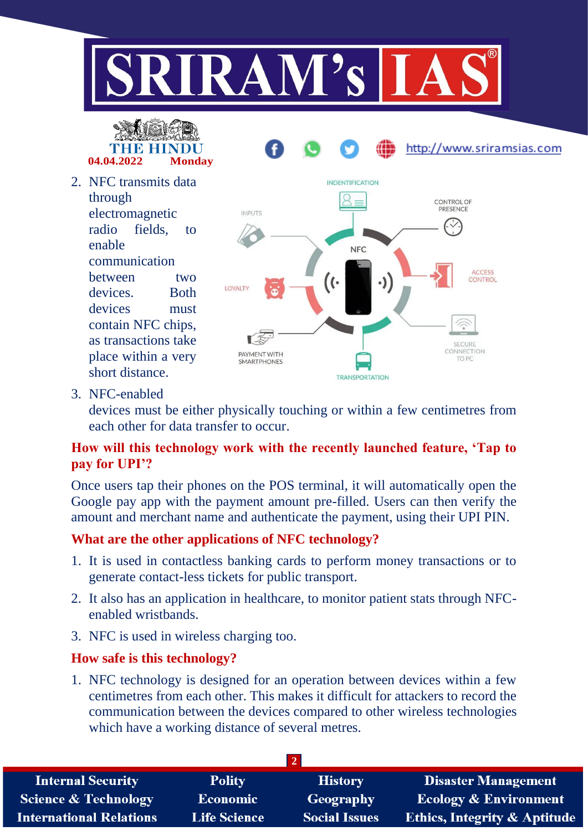



2. NFC transmits data through electromagnetic radio fields, to enable communication between two devices. Both devices must contain NFC chips, as transactions take place within a very



3. NFC-enabled

short distance.

devices must be either physically touching or within a few centimetres from each other for data transfer to occur.

#### **How will this technology work with the recently launched feature, 'Tap to pay for UPI'?**

Once users tap their phones on the POS terminal, it will automatically open the Google pay app with the payment amount pre-filled. Users can then verify the amount and merchant name and authenticate the payment, using their UPI PIN.

#### **What are the other applications of NFC technology?**

- 1. It is used in contactless banking cards to perform money transactions or to generate contact-less tickets for public transport.
- 2. It also has an application in healthcare, to monitor patient stats through NFCenabled wristbands.
- 3. NFC is used in wireless charging too.

#### **How safe is this technology?**

1. NFC technology is designed for an operation between devices within a few centimetres from each other. This makes it difficult for attackers to record the communication between the devices compared to other wireless technologies which have a working distance of several metres.

| <b>Internal Security</b>        | <b>Polity</b>       | <b>History</b>       | Disaster Management                     |  |
|---------------------------------|---------------------|----------------------|-----------------------------------------|--|
| <b>Science &amp; Technology</b> | Economic            | <b>Geography</b>     | <b>Ecology &amp; Environment</b>        |  |
| <b>International Relations</b>  | <b>Life Science</b> | <b>Social Issues</b> | <b>Ethics, Integrity &amp; Aptitude</b> |  |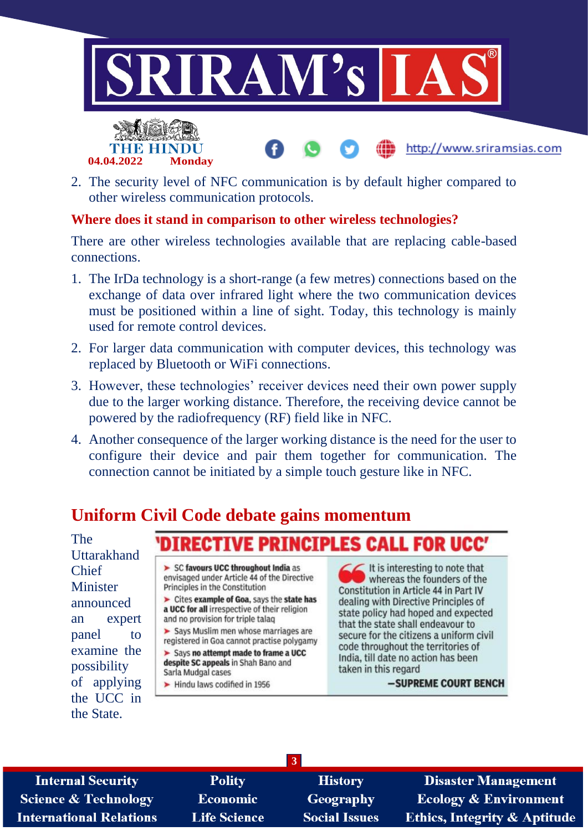





#### **Where does it stand in comparison to other wireless technologies?**

There are other wireless technologies available that are replacing cable-based connections.

- 1. The IrDa technology is a short-range (a few metres) connections based on the exchange of data over infrared light where the two communication devices must be positioned within a line of sight. Today, this technology is mainly used for remote control devices.
- 2. For larger data communication with computer devices, this technology was replaced by Bluetooth or WiFi connections.
- 3. However, these technologies' receiver devices need their own power supply due to the larger working distance. Therefore, the receiving device cannot be powered by the radiofrequency (RF) field like in NFC.
- 4. Another consequence of the larger working distance is the need for the user to configure their device and pair them together for communication. The connection cannot be initiated by a simple touch gesture like in NFC.

# **Uniform Civil Code debate gains momentum**

The Uttarakhand Chief Minister announced an expert panel to examine the possibility of applying the UCC in the State.

#### DIRECTIVE PRINCIPLES CALL I **FOR UCC'**

> SC favours UCC throughout India as envisaged under Article 44 of the Directive Principles in the Constitution

> Cites example of Goa, says the state has a UCC for all irrespective of their religion and no provision for triple talaq

> Says Muslim men whose marriages are registered in Goa cannot practise polygamy

> Says no attempt made to frame a UCC despite SC appeals in Shah Bano and Sarla Mudgal cases

> Hindu laws codified in 1956

It is interesting to note that whereas the founders of the Constitution in Article 44 in Part IV dealing with Directive Principles of state policy had hoped and expected that the state shall endeavour to secure for the citizens a uniform civil code throughout the territories of India, till date no action has been taken in this regard

-SUPREME COURT BENCH

**Internal Security Science & Technology International Relations** 

**Polity Economic Life Science** 

**History** Geography **Social Issues** 

**3**

**Disaster Management Ecology & Environment** Ethics, Integrity & Aptitude

http://www.sriramsias.com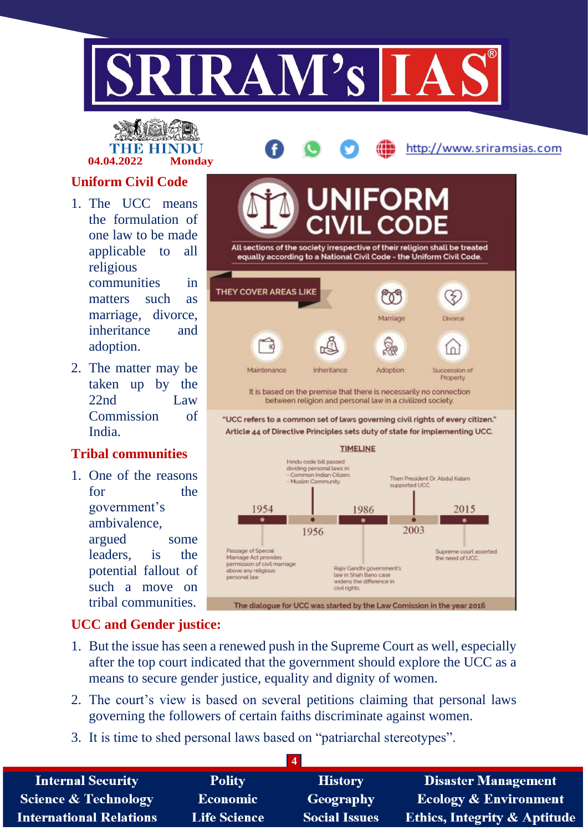

**04.04.2022 Monday**

http://www.sriramsias.com

### **Uniform Civil Code**

- 1. The UCC means the formulation of one law to be made applicable to all religious communities in matters such as marriage, divorce, inheritance and adoption.
- 2. The matter may be taken up by the 22nd Law Commission of India.

#### **Tribal communities**

1. One of the reasons for the government's ambivalence, argued some leaders, is the potential fallout of such a move on tribal communities.



#### **UCC and Gender justice:**

- 1. But the issue has seen a renewed push in the Supreme Court as well, especially after the top court indicated that the government should explore the UCC as a means to secure gender justice, equality and dignity of women.
- 2. The court's view is based on several petitions claiming that personal laws governing the followers of certain faiths discriminate against women.
- 3. It is time to shed personal laws based on "patriarchal stereotypes".

| <b>Internal Security</b>        | <b>Polity</b>       | <b>History</b>       | <b>Disaster Management</b>              |
|---------------------------------|---------------------|----------------------|-----------------------------------------|
| <b>Science &amp; Technology</b> | Economic            | Geography            | <b>Ecology &amp; Environment</b>        |
| <b>International Relations</b>  | <b>Life Science</b> | <b>Social Issues</b> | <b>Ethics, Integrity &amp; Aptitude</b> |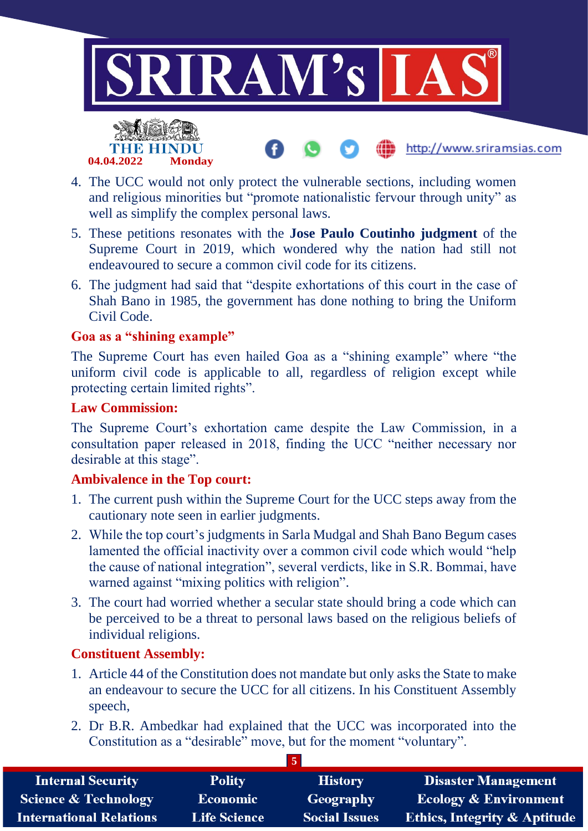

http://www.sriramsias.com



- 4. The UCC would not only protect the vulnerable sections, including women and religious minorities but "promote nationalistic fervour through unity" as well as simplify the complex personal laws.
- 5. These petitions resonates with the **Jose Paulo Coutinho judgment** of the Supreme Court in 2019, which wondered why the nation had still not endeavoured to secure a common civil code for its citizens.
- 6. The judgment had said that "despite exhortations of this court in the case of Shah Bano in 1985, the government has done nothing to bring the Uniform Civil Code.

#### **Goa as a "shining example"**

The Supreme Court has even hailed Goa as a "shining example" where "the uniform civil code is applicable to all, regardless of religion except while protecting certain limited rights".

#### **Law Commission:**

The Supreme Court's exhortation came despite the Law Commission, in a consultation paper released in 2018, finding the UCC "neither necessary nor desirable at this stage".

#### **Ambivalence in the Top court:**

- 1. The current push within the Supreme Court for the UCC steps away from the cautionary note seen in earlier judgments.
- 2. While the top court's judgments in Sarla Mudgal and Shah Bano Begum cases lamented the official inactivity over a common civil code which would "help the cause of national integration", several verdicts, like in S.R. Bommai, have warned against "mixing politics with religion".
- 3. The court had worried whether a secular state should bring a code which can be perceived to be a threat to personal laws based on the religious beliefs of individual religions.

#### **Constituent Assembly:**

- 1. Article 44 of the Constitution does not mandate but only asks the State to make an endeavour to secure the UCC for all citizens. In his Constituent Assembly speech,
- 2. Dr B.R. Ambedkar had explained that the UCC was incorporated into the Constitution as a "desirable" move, but for the moment "voluntary".

| <b>Internal Security</b>        | <b>Polity</b>       | <b>History</b>       | <b>Disaster Management</b>              |
|---------------------------------|---------------------|----------------------|-----------------------------------------|
| <b>Science &amp; Technology</b> | Economic            | Geography            | <b>Ecology &amp; Environment</b>        |
| <b>International Relations</b>  | <b>Life Science</b> | <b>Social Issues</b> | <b>Ethics, Integrity &amp; Aptitude</b> |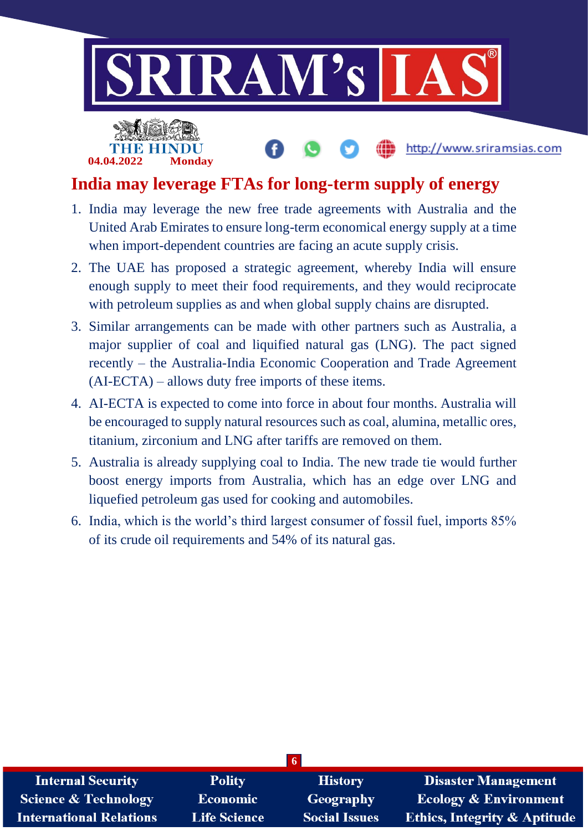

## **India may leverage FTAs for long-term supply of energy**

**04.04.2022 Monday**

- 1. India may leverage the new free trade agreements with Australia and the United Arab Emirates to ensure long-term economical energy supply at a time when import-dependent countries are facing an acute supply crisis.
- 2. The UAE has proposed a strategic agreement, whereby India will ensure enough supply to meet their food requirements, and they would reciprocate with petroleum supplies as and when global supply chains are disrupted.
- 3. Similar arrangements can be made with other partners such as Australia, a major supplier of coal and liquified natural gas (LNG). The pact signed recently – the Australia-India Economic Cooperation and Trade Agreement (AI-ECTA) – allows duty free imports of these items.
- 4. AI-ECTA is expected to come into force in about four months. Australia will be encouraged to supply natural resources such as coal, alumina, metallic ores, titanium, zirconium and LNG after tariffs are removed on them.
- 5. Australia is already supplying coal to India. The new trade tie would further boost energy imports from Australia, which has an edge over LNG and liquefied petroleum gas used for cooking and automobiles.
- 6. India, which is the world's third largest consumer of fossil fuel, imports 85% of its crude oil requirements and 54% of its natural gas.

| $\sqrt{6}$                     |                     |                      |                                         |
|--------------------------------|---------------------|----------------------|-----------------------------------------|
| <b>Internal Security</b>       | <b>Polity</b>       | <b>History</b>       | <b>Disaster Management</b>              |
| Science & Technology           | <b>Economic</b>     | Geography            | <b>Ecology &amp; Environment</b>        |
| <b>International Relations</b> | <b>Life Science</b> | <b>Social Issues</b> | <b>Ethics, Integrity &amp; Aptitude</b> |